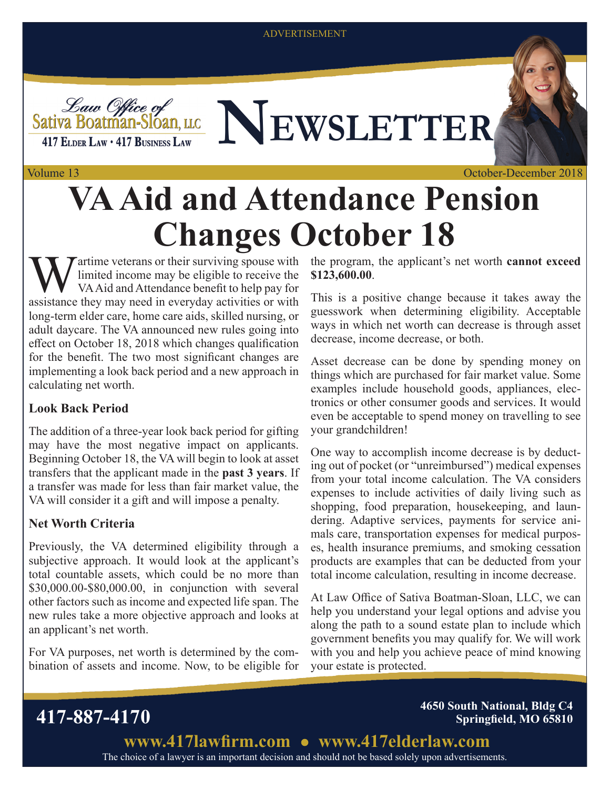ADVERTISEMENT



# *Law Office of*<br>Sativa Boatman-Sloan, LLC NEWSLETTER

#### Volume 13

October-December 2018

## **VA Aid and Attendance Pension Changes October 18**

 $\tau$  artime veterans or their surviving spouse with limited income may be eligible to receive the VA Aid and Attendance benefit to help pay for assistance they may need in everyday activities or with long-term elder care, home care aids, skilled nursing, or adult daycare. The VA announced new rules going into effect on October 18, 2018 which changes qualification for the benefit. The two most significant changes are implementing a look back period and a new approach in calculating net worth.

#### **Look Back Period**

The addition of a three-year look back period for gifting may have the most negative impact on applicants. Beginning October 18, the VA will begin to look at asset transfers that the applicant made in the **past 3 years**. If a transfer was made for less than fair market value, the VA will consider it a gift and will impose a penalty.

### **Net Worth Criteria**

Previously, the VA determined eligibility through a subjective approach. It would look at the applicant's total countable assets, which could be no more than \$30,000.00-\$80,000.00, in conjunction with several other factors such as income and expected life span. The new rules take a more objective approach and looks at an applicant's net worth.

For VA purposes, net worth is determined by the combination of assets and income. Now, to be eligible for the program, the applicant's net worth **cannot exceed \$123,600.00**.

This is a positive change because it takes away the guesswork when determining eligibility. Acceptable ways in which net worth can decrease is through asset decrease, income decrease, or both.

Asset decrease can be done by spending money on things which are purchased for fair market value. Some examples include household goods, appliances, electronics or other consumer goods and services. It would even be acceptable to spend money on travelling to see your grandchildren!

One way to accomplish income decrease is by deducting out of pocket (or "unreimbursed") medical expenses from your total income calculation. The VA considers expenses to include activities of daily living such as shopping, food preparation, housekeeping, and laundering. Adaptive services, payments for service animals care, transportation expenses for medical purposes, health insurance premiums, and smoking cessation products are examples that can be deducted from your total income calculation, resulting in income decrease.

At Law Office of Sativa Boatman-Sloan, LLC, we can help you understand your legal options and advise you along the path to a sound estate plan to include which government benefits you may qualify for. We will work with you and help you achieve peace of mind knowing your estate is protected.

**417-887-4170 4650 South National, Bldg C4 Springfield, MO 65810**

> The choice of a lawyer is an important decision and should not be based solely upon advertisements. **www.417lawfirm.com www.417elderlaw.com**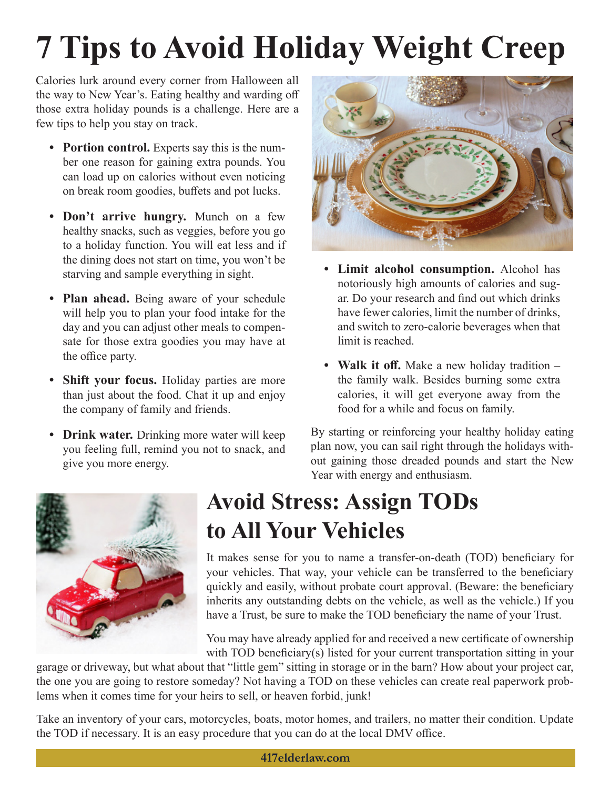# **7 Tips to Avoid Holiday Weight Creep**

Calories lurk around every corner from Halloween all the way to New Year's. Eating healthy and warding off those extra holiday pounds is a challenge. Here are a few tips to help you stay on track.

- **• Portion control.** Experts say this is the number one reason for gaining extra pounds. You can load up on calories without even noticing on break room goodies, buffets and pot lucks.
- **• Don't arrive hungry.** Munch on a few healthy snacks, such as veggies, before you go to a holiday function. You will eat less and if the dining does not start on time, you won't be starving and sample everything in sight.
- **• Plan ahead.** Being aware of your schedule will help you to plan your food intake for the day and you can adjust other meals to compensate for those extra goodies you may have at the office party.
- **Shift your focus.** Holiday parties are more than just about the food. Chat it up and enjoy the company of family and friends.
- **• Drink water.** Drinking more water will keep you feeling full, remind you not to snack, and give you more energy.



- **• Limit alcohol consumption.** Alcohol has notoriously high amounts of calories and sugar. Do your research and find out which drinks have fewer calories, limit the number of drinks, and switch to zero-calorie beverages when that limit is reached.
- **• Walk it off.** Make a new holiday tradition the family walk. Besides burning some extra calories, it will get everyone away from the food for a while and focus on family.

By starting or reinforcing your healthy holiday eating plan now, you can sail right through the holidays without gaining those dreaded pounds and start the New Year with energy and enthusiasm.



## **Avoid Stress: Assign TODs to All Your Vehicles**

It makes sense for you to name a transfer-on-death (TOD) beneficiary for your vehicles. That way, your vehicle can be transferred to the beneficiary quickly and easily, without probate court approval. (Beware: the beneficiary inherits any outstanding debts on the vehicle, as well as the vehicle.) If you have a Trust, be sure to make the TOD beneficiary the name of your Trust.

You may have already applied for and received a new certificate of ownership with TOD beneficiary(s) listed for your current transportation sitting in your

garage or driveway, but what about that "little gem" sitting in storage or in the barn? How about your project car, the one you are going to restore someday? Not having a TOD on these vehicles can create real paperwork problems when it comes time for your heirs to sell, or heaven forbid, junk!

Take an inventory of your cars, motorcycles, boats, motor homes, and trailers, no matter their condition. Update the TOD if necessary. It is an easy procedure that you can do at the local DMV office.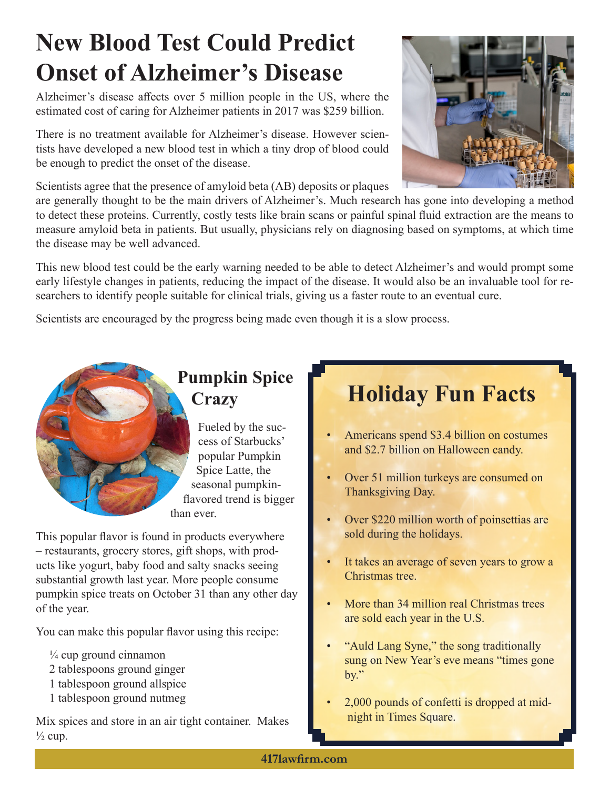## **New Blood Test Could Predict Onset of Alzheimer's Disease**

Alzheimer's disease affects over 5 million people in the US, where the estimated cost of caring for Alzheimer patients in 2017 was \$259 billion.

There is no treatment available for Alzheimer's disease. However scientists have developed a new blood test in which a tiny drop of blood could be enough to predict the onset of the disease.

Scientists agree that the presence of amyloid beta (AB) deposits or plaques

are generally thought to be the main drivers of Alzheimer's. Much research has gone into developing a method to detect these proteins. Currently, costly tests like brain scans or painful spinal fluid extraction are the means to measure amyloid beta in patients. But usually, physicians rely on diagnosing based on symptoms, at which time the disease may be well advanced.

This new blood test could be the early warning needed to be able to detect Alzheimer's and would prompt some early lifestyle changes in patients, reducing the impact of the disease. It would also be an invaluable tool for researchers to identify people suitable for clinical trials, giving us a faster route to an eventual cure.

Scientists are encouraged by the progress being made even though it is a slow process.

# **Pumpkin Spice**

Fueled by the success of Starbucks' popular Pumpkin Spice Latte, the seasonal pumpkinflavored trend is bigger than ever.

This popular flavor is found in products everywhere – restaurants, grocery stores, gift shops, with products like yogurt, baby food and salty snacks seeing substantial growth last year. More people consume pumpkin spice treats on October 31 than any other day of the year.

You can make this popular flavor using this recipe:

- $\frac{1}{4}$  cup ground cinnamon
- 2 tablespoons ground ginger
- 1 tablespoon ground allspice
- 1 tablespoon ground nutmeg

Mix spices and store in an air tight container. Makes  $\frac{1}{2}$  cup.

## **Crazy Holiday Fun Facts**

- Americans spend \$3.4 billion on costumes and \$2.7 billion on Halloween candy.
- Over 51 million turkeys are consumed on Thanksgiving Day.
- Over \$220 million worth of poinsettias are sold during the holidays.
- It takes an average of seven years to grow a Christmas tree.
- More than 34 million real Christmas trees are sold each year in the U.S.
- "Auld Lang Syne," the song traditionally sung on New Year's eve means "times gone by."
- 2,000 pounds of confetti is dropped at midnight in Times Square.